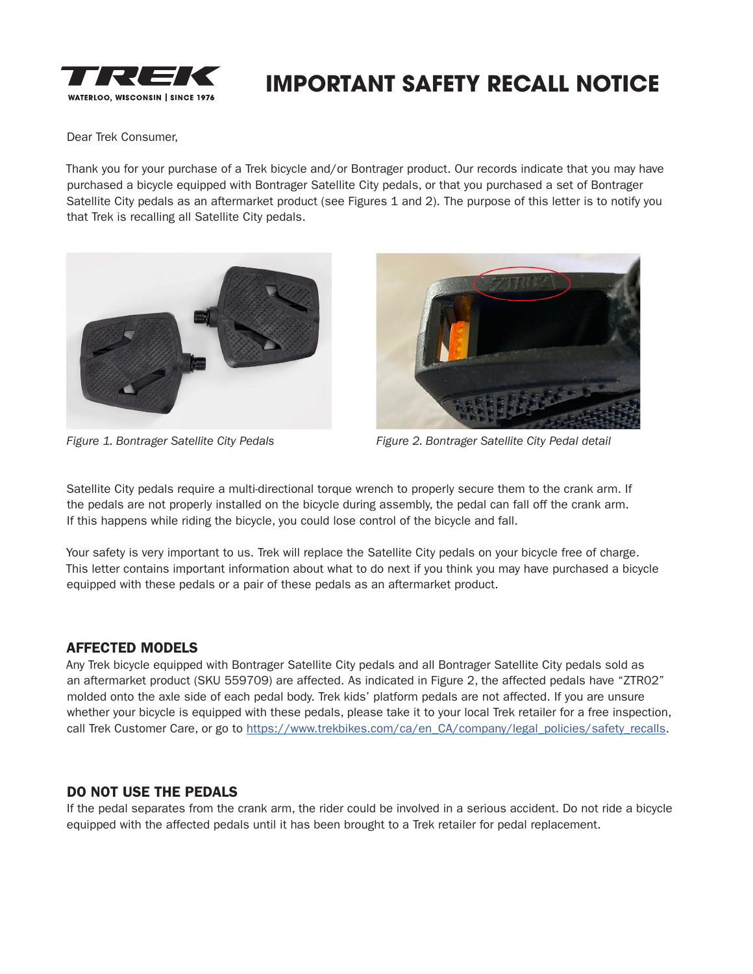

# **IMPORTANT SAFETY RECALL NOTICE**

Dear Trek Consumer,

Thank you for your purchase of a Trek bicycle and/or Bontrager product. Our records indicate that you may have purchased a bicycle equipped with Bontrager Satellite City pedals, or that you purchased a set of Bontrager Satellite City pedals as an aftermarket product (see Figures 1 and 2). The purpose of this letter is to notify you that Trek is recalling all Satellite City pedals.





*Figure 1. Bontrager Satellite City Pedals Figure 2. Bontrager Satellite City Pedal detail*

Satellite City pedals require a multi-directional torque wrench to properly secure them to the crank arm. If the pedals are not properly installed on the bicycle during assembly, the pedal can fall off the crank arm. If this happens while riding the bicycle, you could lose control of the bicycle and fall.

Your safety is very important to us. Trek will replace the Satellite City pedals on your bicycle free of charge. This letter contains important information about what to do next if you think you may have purchased a bicycle equipped with these pedals or a pair of these pedals as an aftermarket product.

### AFFECTED MODELS

Any Trek bicycle equipped with Bontrager Satellite City pedals and all Bontrager Satellite City pedals sold as an aftermarket product (SKU 559709) are affected. As indicated in Figure 2, the affected pedals have "ZTR02" molded onto the axle side of each pedal body. Trek kids' platform pedals are not affected. If you are unsure whether your bicycle is equipped with these pedals, please take it to your local Trek retailer for a free inspection, call Trek Customer Care, or go to https://www.trekbikes.com/ca/en\_CA/company/legal\_policies/safety\_recalls.

### DO NOT USE THE PEDALS

If the pedal separates from the crank arm, the rider could be involved in a serious accident. Do not ride a bicycle equipped with the affected pedals until it has been brought to a Trek retailer for pedal replacement.